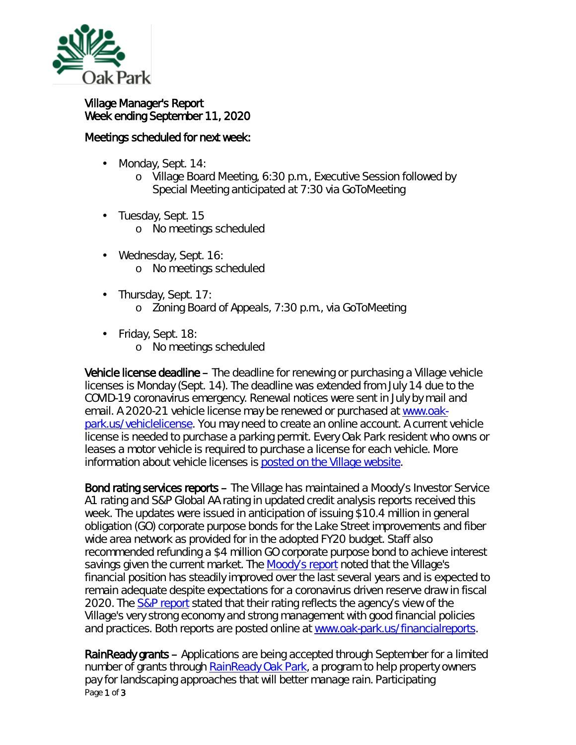

## Village Manager's Report Week ending September 11, 2020

## Meetings scheduled for next week:

- Monday, Sept. 14: ä,
	- o Village Board Meeting, 6:30 p.m., Executive Session followed by Special Meeting anticipated at 7:30 via GoToMeeting
- · Tuesday, Sept. 15
	- o No meetings scheduled
- Wednesday, Sept. 16: ä, o No meetings scheduled
- $\mathcal{L}^{\text{max}}$ Thursday, Sept. 17: o Zoning Board of Appeals, 7:30 p.m., via GoToMeeting
- Friday, Sept. 18:
	- o No meetings scheduled

Vehicle license deadline – The deadline for renewing or purchasing a Village vehicle licenses is Monday (Sept. 14). The deadline was extended from July 14 due to the COVID-19 coronavirus emergency. Renewal notices were sent in July by mail and email. A 2020-21 vehicle license may be renewed or purchased at [www.oak](http://r20.rs6.net/tn.jsp?t=ivlij9abb.0.0.qdcllmmab.0&id=preview&r=3&p=http%3A%2F%2Fwww.oak-park.us%2Fvehiclelicense)[park.us/vehiclelicense.](http://r20.rs6.net/tn.jsp?t=ivlij9abb.0.0.qdcllmmab.0&id=preview&r=3&p=http%3A%2F%2Fwww.oak-park.us%2Fvehiclelicense) You may need to create an online account. A current vehicle license is needed to purchase a parking permit. Every Oak Park resident who owns or leases a motor vehicle is required to purchase a license for each vehicle. More information about vehicle licenses is [posted on the Village website.](http://r20.rs6.net/tn.jsp?t=ivlij9abb.0.0.qdcllmmab.0&id=preview&r=3&p=https%3A%2F%2Fwww.oak-park.us%2Fvillage-services%2Fparking%2Fvehicle-stickers)

Bond rating services reports – The Village has maintained a Moody's Investor Service A1 rating and S&P Global AA rating in updated credit analysis reports received this week. The updates were issued in anticipation of issuing \$10.4 million in general obligation (GO) corporate purpose bonds for the Lake Street improvements and fiber wide area network as provided for in the adopted FY20 budget. Staff also recommended refunding a \$4 million GO corporate purpose bond to achieve interest savings given the current market. The [Moody's report](https://www.oak-park.us/sites/default/files/budgets/finance-reports/bond-rating/2020-09-04-moodys_rating_.pdf) noted that the Village's financial position has steadily improved over the last several years and is expected to remain adequate despite expectations for a coronavirus driven reserve draw in fiscal 2020. The [S&P report](https://www.oak-park.us/sites/default/files/budgets/finance-reports/bond-rating/2020-09-04-s-p_rating_letter.pdf) stated that their rating reflects the agency's view of the Village's very strong economy and strong management with good financial policies and practices. Both reports are posted online at [www.oak-park.us/financialreports.](http://www.oak-park.us/financialreports)

Page 1 of 3 RainReady grants – Applications are being accepted through September for a limited number of grants through [RainReady Oak Park,](https://www.cnt.org/projects/rainready-oak-park) a program to help property owners pay for landscaping approaches that will better manage rain. Participating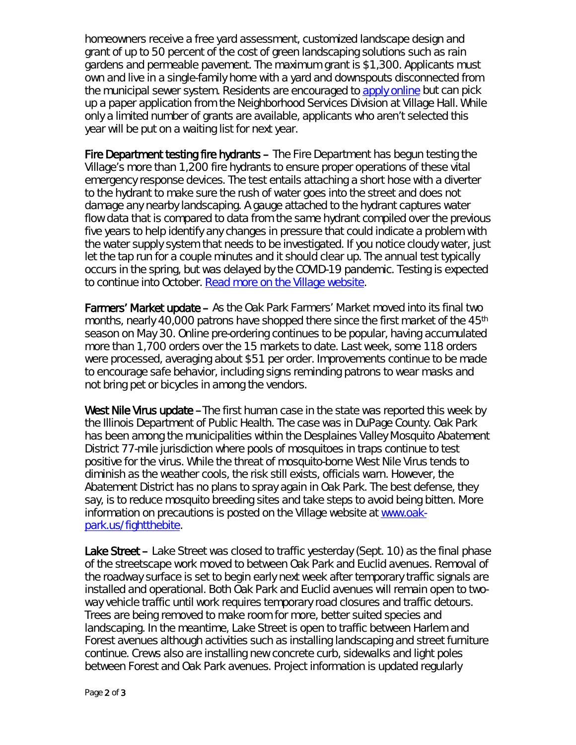homeowners receive a free yard assessment, customized landscape design and grant of up to 50 percent of the cost of green landscaping solutions such as rain gardens and permeable pavement. The maximum grant is \$1,300. Applicants must own and live in a single-family home with a yard and downspouts disconnected from the municipal sewer system. Residents are encouraged to [apply online](http://www.surveygizmo.com/s3/3105407/RainReady-Oak-Park) but can pick up a paper application from the Neighborhood Services Division at Village Hall. While only a limited number of grants are available, applicants who aren't selected this year will be put on a waiting list for next year.

Fire Department testing fire hydrants – The Fire Department has begun testing the Village's more than 1,200 fire hydrants to ensure proper operations of these vital emergency response devices. The test entails attaching a short hose with a diverter to the hydrant to make sure the rush of water goes into the street and does not damage any nearby landscaping. A gauge attached to the hydrant captures water flow data that is compared to data from the same hydrant compiled over the previous five years to help identify any changes in pressure that could indicate a problem with the water supply system that needs to be investigated. If you notice cloudy water, just let the tap run for a couple minutes and it should clear up. The annual test typically occurs in the spring, but was delayed by the COVID-19 pandemic. Testing is expected to continue into October. [Read more on the Village website.](https://www.oak-park.us/news/fire-department-testing-fire-hydrants-0)

Farmers' Market update – As the Oak Park Farmers' Market moved into its final two months, nearly 40,000 patrons have shopped there since the first market of the 45<sup>th</sup> season on May 30. Online pre-ordering continues to be popular, having accumulated more than 1,700 orders over the 15 markets to date. Last week, some 118 orders were processed, averaging about \$51 per order. Improvements continue to be made to encourage safe behavior, including signs reminding patrons to wear masks and not bring pet or bicycles in among the vendors.

West Nile Virus update –The first human case in the state was reported this week by the Illinois Department of Public Health. The case was in DuPage County. Oak Park has been among the municipalities within the Desplaines Valley Mosquito Abatement District 77-mile jurisdiction where pools of mosquitoes in traps continue to test positive for the virus. While the threat of mosquito-borne West Nile Virus tends to diminish as the weather cools, the risk still exists, officials warn. However, the Abatement District has no plans to spray again in Oak Park. The best defense, they say, is to reduce mosquito breeding sites and take steps to avoid being bitten. More information on precautions is posted on the Village website at [www.oak](http://www.oak-park.us/fightthebite)[park.us/fightthebite.](http://www.oak-park.us/fightthebite)

Lake Street – Lake Street was closed to traffic yesterday (Sept. 10) as the final phase of the streetscape work moved to between Oak Park and Euclid avenues. Removal of the roadway surface is set to begin early next week after temporary traffic signals are installed and operational. Both Oak Park and Euclid avenues will remain open to twoway vehicle traffic until work requires temporary road closures and traffic detours. Trees are being removed to make room for more, better suited species and landscaping. In the meantime, Lake Street is open to traffic between Harlem and Forest avenues although activities such as installing landscaping and street furniture continue. Crews also are installing new concrete curb, sidewalks and light poles between Forest and Oak Park avenues. Project information is updated regularly